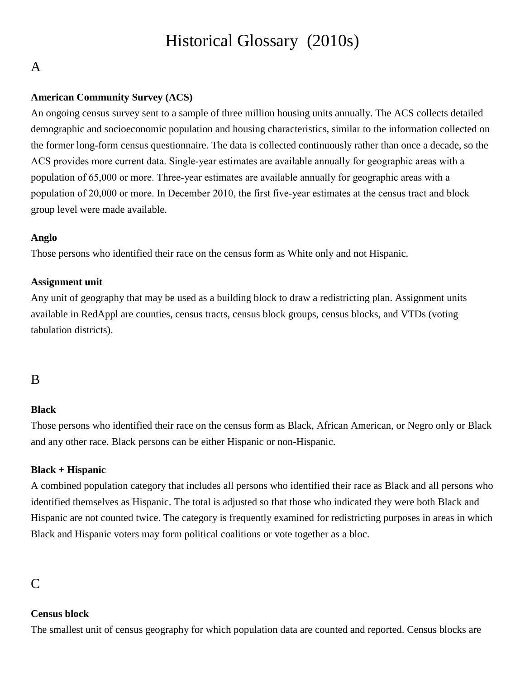# Historical Glossary (2010s)

# A

### **American Community Survey (ACS)**

An ongoing census survey sent to a sample of three million housing units annually. The ACS collects detailed demographic and socioeconomic population and housing characteristics, similar to the information collected on the former long-form census questionnaire. The data is collected continuously rather than once a decade, so the ACS provides more current data. Single‐year estimates are available annually for geographic areas with a population of 65,000 or more. Three‐year estimates are available annually for geographic areas with a population of 20,000 or more. In December 2010, the first five-year estimates at the census tract and block group level were made available.

### **Anglo**

Those persons who identified their race on the census form as White only and not Hispanic.

### **Assignment unit**

Any unit of geography that may be used as a building block to draw a redistricting plan. Assignment units available in RedAppl are counties, census tracts, census block groups, census blocks, and VTDs (voting tabulation districts).

# B

### **Black**

Those persons who identified their race on the census form as Black, African American, or Negro only or Black and any other race. Black persons can be either Hispanic or non-Hispanic.

## **Black + Hispanic**

A combined population category that includes all persons who identified their race as Black and all persons who identified themselves as Hispanic. The total is adjusted so that those who indicated they were both Black and Hispanic are not counted twice. The category is frequently examined for redistricting purposes in areas in which Black and Hispanic voters may form political coalitions or vote together as a bloc.

# C

### **Census block**

The smallest unit of census geography for which population data are counted and reported. Census blocks are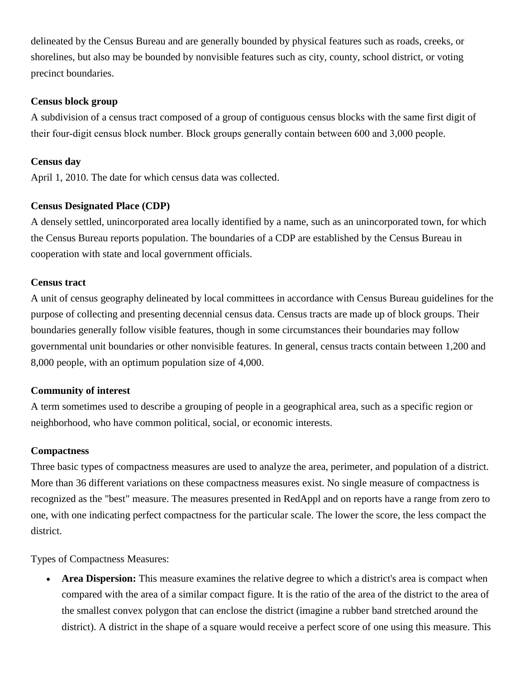delineated by the Census Bureau and are generally bounded by physical features such as roads, creeks, or shorelines, but also may be bounded by nonvisible features such as city, county, school district, or voting precinct boundaries.

#### **Census block group**

A subdivision of a census tract composed of a group of contiguous census blocks with the same first digit of their four‐digit census block number. Block groups generally contain between 600 and 3,000 people.

### **Census day**

April 1, 2010. The date for which census data was collected.

### **Census Designated Place (CDP)**

A densely settled, unincorporated area locally identified by a name, such as an unincorporated town, for which the Census Bureau reports population. The boundaries of a CDP are established by the Census Bureau in cooperation with state and local government officials.

#### **Census tract**

A unit of census geography delineated by local committees in accordance with Census Bureau guidelines for the purpose of collecting and presenting decennial census data. Census tracts are made up of block groups. Their boundaries generally follow visible features, though in some circumstances their boundaries may follow governmental unit boundaries or other nonvisible features. In general, census tracts contain between 1,200 and 8,000 people, with an optimum population size of 4,000.

### **Community of interest**

A term sometimes used to describe a grouping of people in a geographical area, such as a specific region or neighborhood, who have common political, social, or economic interests.

#### **Compactness**

Three basic types of compactness measures are used to analyze the area, perimeter, and population of a district. More than 36 different variations on these compactness measures exist. No single measure of compactness is recognized as the "best" measure. The measures presented in RedAppl and on reports have a range from zero to one, with one indicating perfect compactness for the particular scale. The lower the score, the less compact the district.

Types of Compactness Measures:

 **Area Dispersion:** This measure examines the relative degree to which a district's area is compact when compared with the area of a similar compact figure. It is the ratio of the area of the district to the area of the smallest convex polygon that can enclose the district (imagine a rubber band stretched around the district). A district in the shape of a square would receive a perfect score of one using this measure. This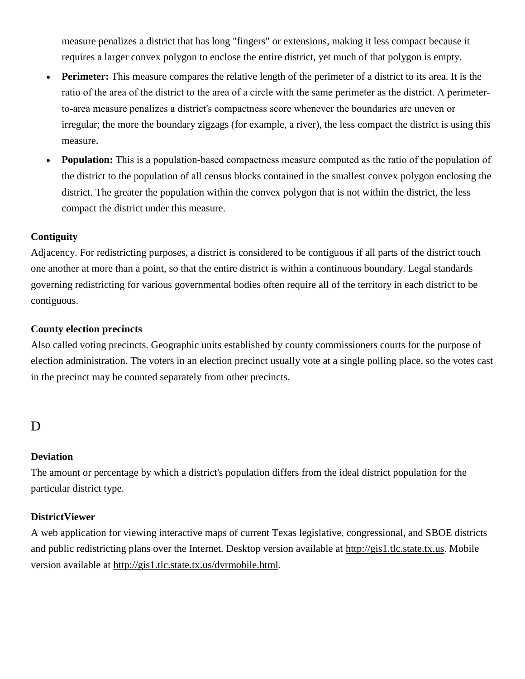measure penalizes a district that has long "fingers" or extensions, making it less compact because it requires a larger convex polygon to enclose the entire district, yet much of that polygon is empty.

- **Perimeter:** This measure compares the relative length of the perimeter of a district to its area. It is the ratio of the area of the district to the area of a circle with the same perimeter as the district. A perimeter‐ to‐area measure penalizes a district's compactness score whenever the boundaries are uneven or irregular; the more the boundary zigzags (for example, a river), the less compact the district is using this measure.
- **Population:** This is a population-based compactness measure computed as the ratio of the population of the district to the population of all census blocks contained in the smallest convex polygon enclosing the district. The greater the population within the convex polygon that is not within the district, the less compact the district under this measure.

## **Contiguity**

Adjacency. For redistricting purposes, a district is considered to be contiguous if all parts of the district touch one another at more than a point, so that the entire district is within a continuous boundary. Legal standards governing redistricting for various governmental bodies often require all of the territory in each district to be contiguous.

### **County election precincts**

Also called voting precincts. Geographic units established by county commissioners courts for the purpose of election administration. The voters in an election precinct usually vote at a single polling place, so the votes cast in the precinct may be counted separately from other precincts.

# D

### **Deviation**

The amount or percentage by which a district's population differs from the ideal district population for the particular district type.

### **DistrictViewer**

A web application for viewing interactive maps of current Texas legislative, congressional, and SBOE districts and public redistricting plans over the Internet. Desktop version available at [http://gis1.tlc.state.tx.us.](http://gis1.tlc.state.tx.us/) Mobile version available at [http://gis1.tlc.state.tx.us/dvrmobile.html.](http://gis1.tlc.state.tx.us/dvrmobile.html)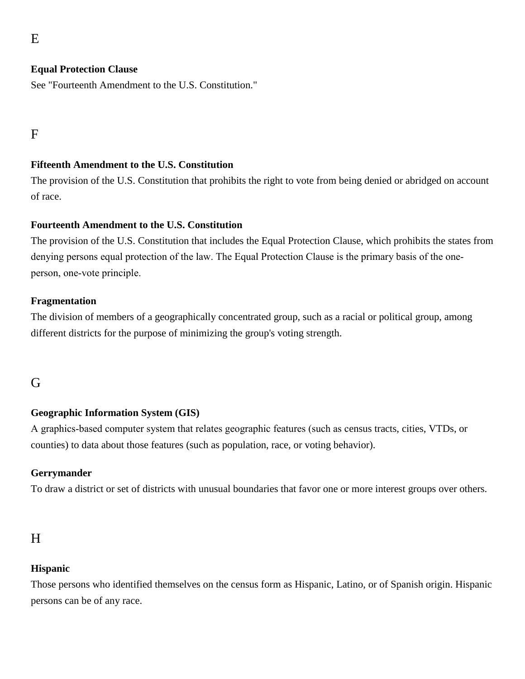## **Equal Protection Clause**

See "Fourteenth Amendment to the U.S. Constitution."

F

### **Fifteenth Amendment to the U.S. Constitution**

The provision of the U.S. Constitution that prohibits the right to vote from being denied or abridged on account of race.

#### **Fourteenth Amendment to the U.S. Constitution**

The provision of the U.S. Constitution that includes the Equal Protection Clause, which prohibits the states from denying persons equal protection of the law. The Equal Protection Clause is the primary basis of the one‐ person, one‐vote principle.

#### **Fragmentation**

The division of members of a geographically concentrated group, such as a racial or political group, among different districts for the purpose of minimizing the group's voting strength.

# G

### **Geographic Information System (GIS)**

A graphics‐based computer system that relates geographic features (such as census tracts, cities, VTDs, or counties) to data about those features (such as population, race, or voting behavior).

#### **Gerrymander**

To draw a district or set of districts with unusual boundaries that favor one or more interest groups over others.

# H

### **Hispanic**

Those persons who identified themselves on the census form as Hispanic, Latino, or of Spanish origin. Hispanic persons can be of any race.

E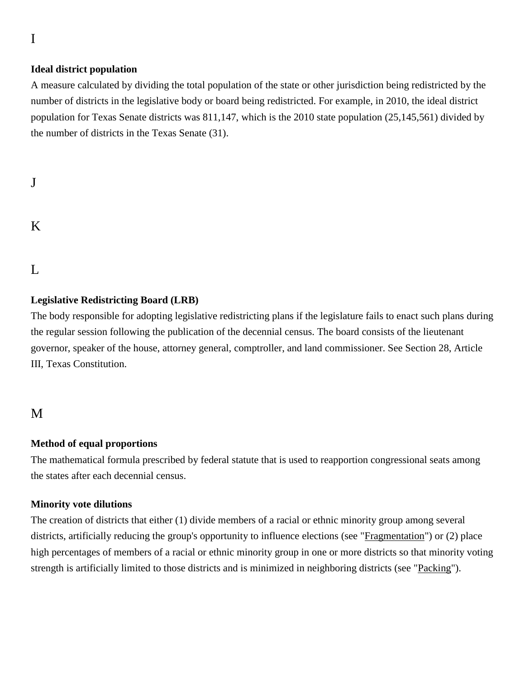# **Ideal district population**

A measure calculated by dividing the total population of the state or other jurisdiction being redistricted by the number of districts in the legislative body or board being redistricted. For example, in 2010, the ideal district population for Texas Senate districts was 811,147, which is the 2010 state population (25,145,561) divided by the number of districts in the Texas Senate (31).

# J

# K

# $\mathbf{L}$

# **Legislative Redistricting Board (LRB)**

The body responsible for adopting legislative redistricting plans if the legislature fails to enact such plans during the regular session following the publication of the decennial census. The board consists of the lieutenant governor, speaker of the house, attorney general, comptroller, and land commissioner. See Section 28, Article III, Texas Constitution.

# M

### **Method of equal proportions**

The mathematical formula prescribed by federal statute that is used to reapportion congressional seats among the states after each decennial census.

### **Minority vote dilutions**

The creation of districts that either (1) divide members of a racial or ethnic minority group among several districts, artificially reducing the group's opportunity to influence elections (see ["Fragmentation"](https://dev-redistricting.capitol.texas.gov/hist-glossary#F)) or (2) place high percentages of members of a racial or ethnic minority group in one or more districts so that minority voting strength is artificially limited to those districts and is minimized in neighboring districts (see ["Packing"](https://dev-redistricting.capitol.texas.gov/hist-glossary#P)).

I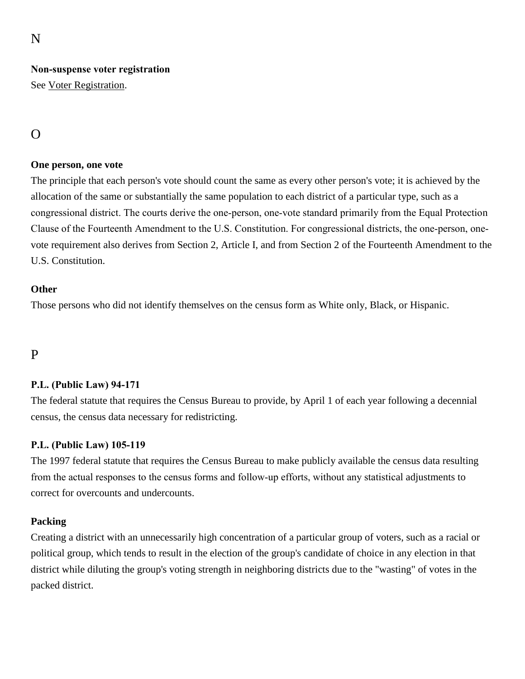N

# **Non‐suspense voter registration**

See [Voter Registration.](https://dev-redistricting.capitol.texas.gov/hist-glossary#V)

# $\Omega$

### **One person, one vote**

The principle that each person's vote should count the same as every other person's vote; it is achieved by the allocation of the same or substantially the same population to each district of a particular type, such as a congressional district. The courts derive the one‐person, one‐vote standard primarily from the Equal Protection Clause of the Fourteenth Amendment to the U.S. Constitution. For congressional districts, the one‐person, one‐ vote requirement also derives from Section 2, Article I, and from Section 2 of the Fourteenth Amendment to the U.S. Constitution.

### **Other**

Those persons who did not identify themselves on the census form as White only, Black, or Hispanic.

# P

## **P.L. (Public Law) 94‐171**

The federal statute that requires the Census Bureau to provide, by April 1 of each year following a decennial census, the census data necessary for redistricting.

### **P.L. (Public Law) 105‐119**

The 1997 federal statute that requires the Census Bureau to make publicly available the census data resulting from the actual responses to the census forms and follow‐up efforts, without any statistical adjustments to correct for overcounts and undercounts.

## **Packing**

Creating a district with an unnecessarily high concentration of a particular group of voters, such as a racial or political group, which tends to result in the election of the group's candidate of choice in any election in that district while diluting the group's voting strength in neighboring districts due to the "wasting" of votes in the packed district.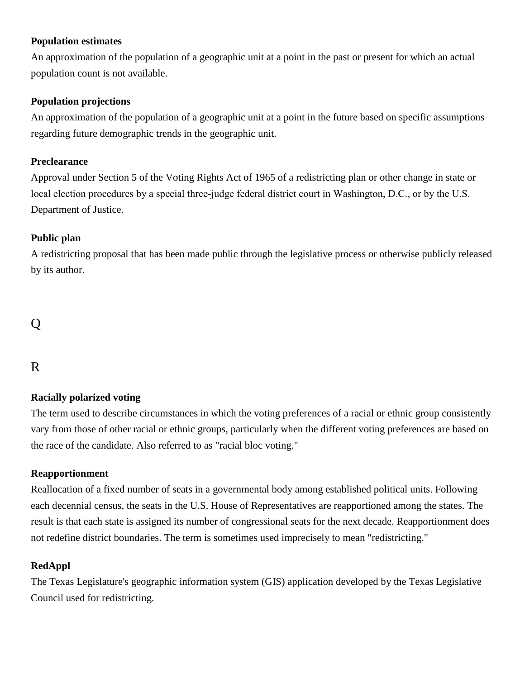### **Population estimates**

An approximation of the population of a geographic unit at a point in the past or present for which an actual population count is not available.

### **Population projections**

An approximation of the population of a geographic unit at a point in the future based on specific assumptions regarding future demographic trends in the geographic unit.

### **Preclearance**

Approval under Section 5 of the Voting Rights Act of 1965 of a redistricting plan or other change in state or local election procedures by a special three‐judge federal district court in Washington, D.C., or by the U.S. Department of Justice.

## **Public plan**

A redistricting proposal that has been made public through the legislative process or otherwise publicly released by its author.

# Q

# R

## **Racially polarized voting**

The term used to describe circumstances in which the voting preferences of a racial or ethnic group consistently vary from those of other racial or ethnic groups, particularly when the different voting preferences are based on the race of the candidate. Also referred to as "racial bloc voting."

## **Reapportionment**

Reallocation of a fixed number of seats in a governmental body among established political units. Following each decennial census, the seats in the U.S. House of Representatives are reapportioned among the states. The result is that each state is assigned its number of congressional seats for the next decade. Reapportionment does not redefine district boundaries. The term is sometimes used imprecisely to mean "redistricting."

## **RedAppl**

The Texas Legislature's geographic information system (GIS) application developed by the Texas Legislative Council used for redistricting.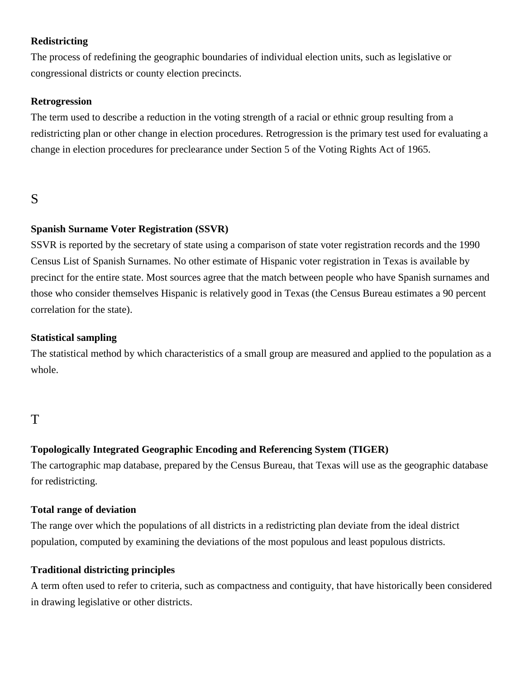## **Redistricting**

The process of redefining the geographic boundaries of individual election units, such as legislative or congressional districts or county election precincts.

### **Retrogression**

The term used to describe a reduction in the voting strength of a racial or ethnic group resulting from a redistricting plan or other change in election procedures. Retrogression is the primary test used for evaluating a change in election procedures for preclearance under Section 5 of the Voting Rights Act of 1965.

# S

### **Spanish Surname Voter Registration (SSVR)**

SSVR is reported by the secretary of state using a comparison of state voter registration records and the 1990 Census List of Spanish Surnames. No other estimate of Hispanic voter registration in Texas is available by precinct for the entire state. Most sources agree that the match between people who have Spanish surnames and those who consider themselves Hispanic is relatively good in Texas (the Census Bureau estimates a 90 percent correlation for the state).

#### **Statistical sampling**

The statistical method by which characteristics of a small group are measured and applied to the population as a whole.

# T

## **Topologically Integrated Geographic Encoding and Referencing System (TIGER)**

The cartographic map database, prepared by the Census Bureau, that Texas will use as the geographic database for redistricting.

### **Total range of deviation**

The range over which the populations of all districts in a redistricting plan deviate from the ideal district population, computed by examining the deviations of the most populous and least populous districts.

### **Traditional districting principles**

A term often used to refer to criteria, such as compactness and contiguity, that have historically been considered in drawing legislative or other districts.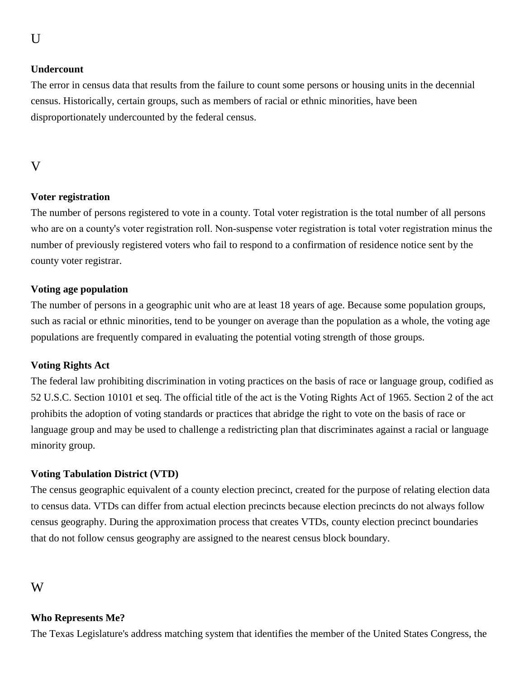# **Undercount**

The error in census data that results from the failure to count some persons or housing units in the decennial census. Historically, certain groups, such as members of racial or ethnic minorities, have been disproportionately undercounted by the federal census.

# V

# **Voter registration**

The number of persons registered to vote in a county. Total voter registration is the total number of all persons who are on a county's voter registration roll. Non-suspense voter registration is total voter registration minus the number of previously registered voters who fail to respond to a confirmation of residence notice sent by the county voter registrar.

# **Voting age population**

The number of persons in a geographic unit who are at least 18 years of age. Because some population groups, such as racial or ethnic minorities, tend to be younger on average than the population as a whole, the voting age populations are frequently compared in evaluating the potential voting strength of those groups.

## **Voting Rights Act**

The federal law prohibiting discrimination in voting practices on the basis of race or language group, codified as 52 U.S.C. Section 10101 et seq. The official title of the act is the Voting Rights Act of 1965. Section 2 of the act prohibits the adoption of voting standards or practices that abridge the right to vote on the basis of race or language group and may be used to challenge a redistricting plan that discriminates against a racial or language minority group.

## **Voting Tabulation District (VTD)**

The census geographic equivalent of a county election precinct, created for the purpose of relating election data to census data. VTDs can differ from actual election precincts because election precincts do not always follow census geography. During the approximation process that creates VTDs, county election precinct boundaries that do not follow census geography are assigned to the nearest census block boundary.

# W

## **Who Represents Me?**

The Texas Legislature's address matching system that identifies the member of the United States Congress, the